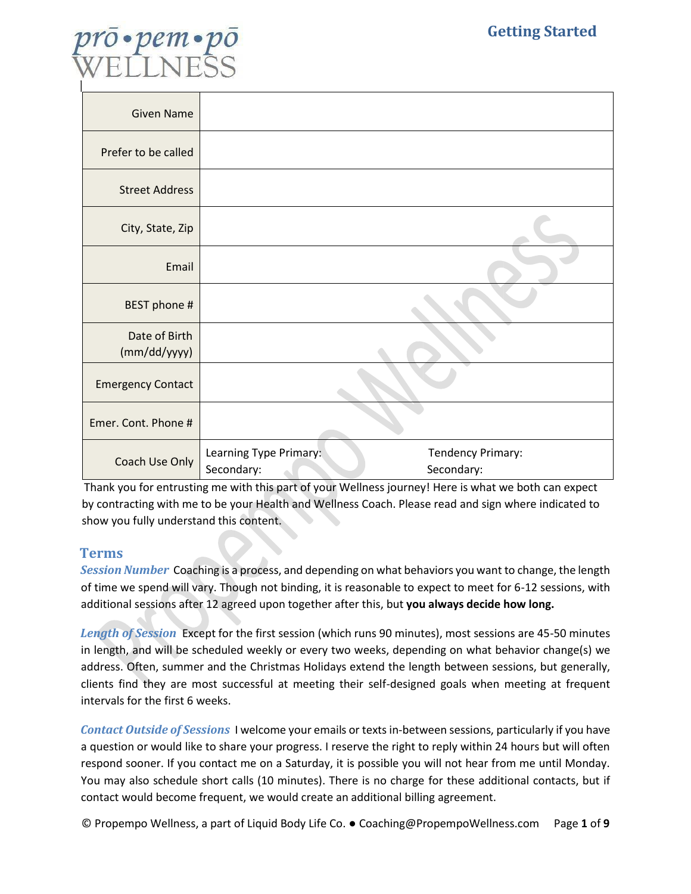

| <b>Given Name</b>             |                                      |                                 |
|-------------------------------|--------------------------------------|---------------------------------|
| Prefer to be called           |                                      |                                 |
| <b>Street Address</b>         |                                      |                                 |
| City, State, Zip              |                                      |                                 |
| Email                         |                                      |                                 |
| BEST phone #                  |                                      |                                 |
| Date of Birth<br>(mm/dd/yyyy) |                                      |                                 |
| <b>Emergency Contact</b>      |                                      |                                 |
| Emer. Cont. Phone #           |                                      |                                 |
| Coach Use Only                | Learning Type Primary:<br>Secondary: | Tendency Primary:<br>Secondary: |

Thank you for entrusting me with this part of your Wellness journey! Here is what we both can expect by contracting with me to be your Health and Wellness Coach. Please read and sign where indicated to show you fully understand this content.

## **Terms**

*Session Number* Coaching is a process, and depending on what behaviors you want to change, the length of time we spend will vary. Though not binding, it is reasonable to expect to meet for 6-12 sessions, with additional sessions after 12 agreed upon together after this, but **you always decide how long.**

*Length of Session* Except for the first session (which runs 90 minutes), most sessions are 45-50 minutes in length, and will be scheduled weekly or every two weeks, depending on what behavior change(s) we address. Often, summer and the Christmas Holidays extend the length between sessions, but generally, clients find they are most successful at meeting their self-designed goals when meeting at frequent intervals for the first 6 weeks.

*Contact Outside of Sessions* I welcome your emails or texts in-between sessions, particularly if you have a question or would like to share your progress. I reserve the right to reply within 24 hours but will often respond sooner. If you contact me on a Saturday, it is possible you will not hear from me until Monday. You may also schedule short calls (10 minutes). There is no charge for these additional contacts, but if contact would become frequent, we would create an additional billing agreement.

© Propempo Wellness, a part of Liquid Body Life Co. ● Coaching@PropempoWellness.com Page **1** of **9**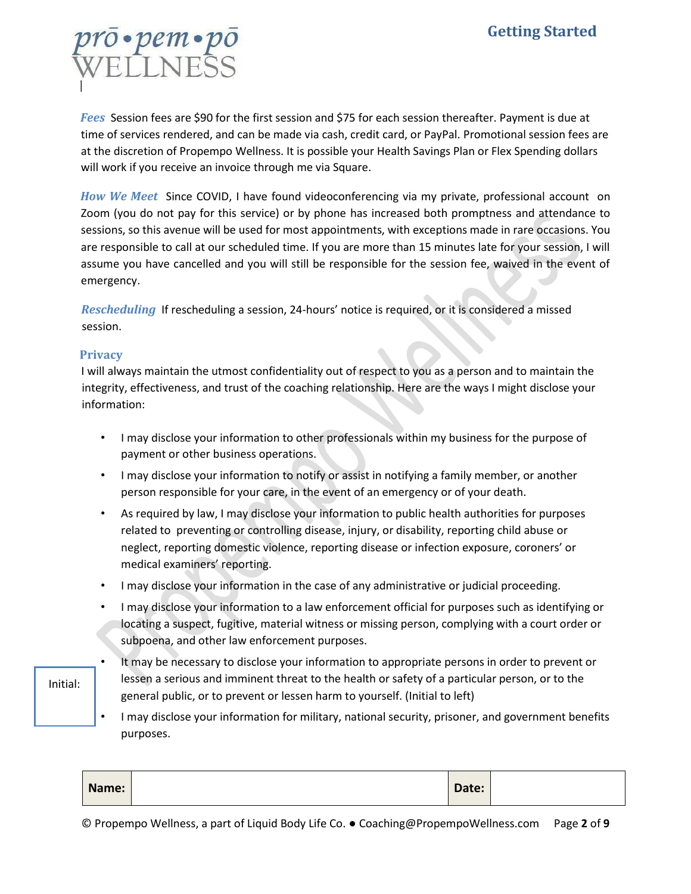# rō•pem•pi<br>//ELINE©

*Fees* Session fees are \$90 for the first session and \$75 for each session thereafter. Payment is due at time of services rendered, and can be made via cash, credit card, or PayPal. Promotional session fees are at the discretion of Propempo Wellness. It is possible your Health Savings Plan or Flex Spending dollars will work if you receive an invoice through me via Square.

*How We Meet* Since COVID, I have found videoconferencing via my private, professional account on Zoom (you do not pay for this service) or by phone has increased both promptness and attendance to sessions, so this avenue will be used for most appointments, with exceptions made in rare occasions. You are responsible to call at our scheduled time. If you are more than 15 minutes late for your session, I will assume you have cancelled and you will still be responsible for the session fee, waived in the event of emergency.

*Rescheduling* If rescheduling a session, 24-hours' notice is required, or it is considered a missed session.

#### **Privacy**

I will always maintain the utmost confidentiality out of respect to you as a person and to maintain the integrity, effectiveness, and trust of the coaching relationship. Here are the ways I might disclose your information:

- I may disclose your information to other professionals within my business for the purpose of payment or other business operations.
- I may disclose your information to notify or assist in notifying a family member, or another person responsible for your care, in the event of an emergency or of your death.
- As required by law, I may disclose your information to public health authorities for purposes related to preventing or controlling disease, injury, or disability, reporting child abuse or neglect, reporting domestic violence, reporting disease or infection exposure, coroners' or medical examiners' reporting.
- I may disclose your information in the case of any administrative or judicial proceeding.
- I may disclose your information to a law enforcement official for purposes such as identifying or locating a suspect, fugitive, material witness or missing person, complying with a court order or subpoena, and other law enforcement purposes.
- It may be necessary to disclose your information to appropriate persons in order to prevent or lessen a serious and imminent threat to the health or safety of a particular person, or to the general public, or to prevent or lessen harm to yourself. (Initial to left) Initial:
	- I may disclose your information for military, national security, prisoner, and government benefits purposes.

| Name:<br>Date: |  |
|----------------|--|
|----------------|--|

© Propempo Wellness, a part of Liquid Body Life Co. ● Coaching@PropempoWellness.com Page **2** of **9**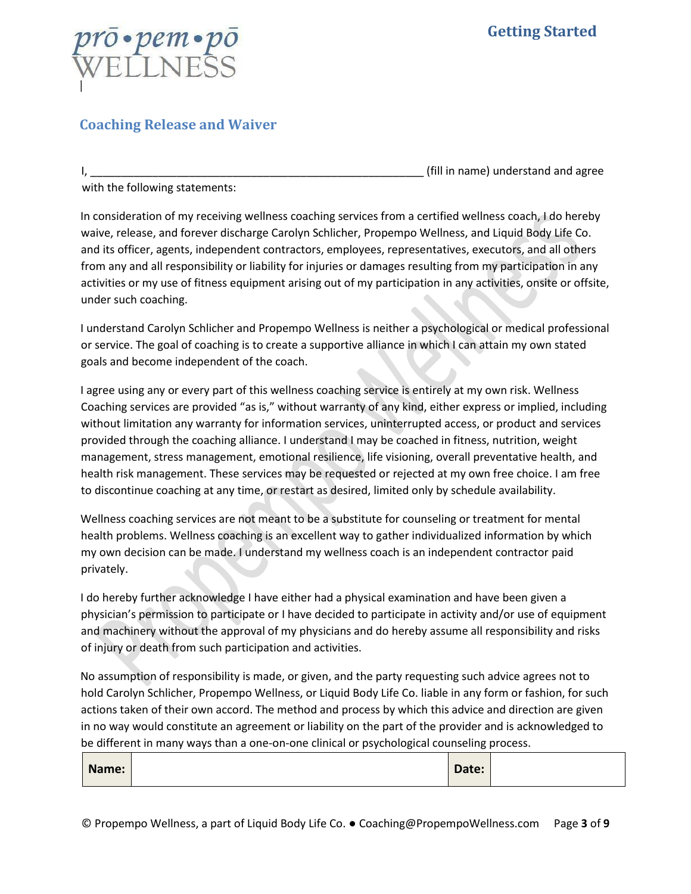

# **Coaching Release and Waiver**

I, \_\_\_\_\_\_\_\_\_\_\_\_\_\_\_\_\_\_\_\_\_\_\_\_\_\_\_\_\_\_\_\_\_\_\_\_\_\_\_\_\_\_\_\_\_\_\_\_\_\_\_\_\_\_ (fill in name) understand and agree

with the following statements:

In consideration of my receiving wellness coaching services from a certified wellness coach, I do hereby waive, release, and forever discharge Carolyn Schlicher, Propempo Wellness, and Liquid Body Life Co. and its officer, agents, independent contractors, employees, representatives, executors, and all others from any and all responsibility or liability for injuries or damages resulting from my participation in any activities or my use of fitness equipment arising out of my participation in any activities, onsite or offsite, under such coaching.

I understand Carolyn Schlicher and Propempo Wellness is neither a psychological or medical professional or service. The goal of coaching is to create a supportive alliance in which I can attain my own stated goals and become independent of the coach.

I agree using any or every part of this wellness coaching service is entirely at my own risk. Wellness Coaching services are provided "as is," without warranty of any kind, either express or implied, including without limitation any warranty for information services, uninterrupted access, or product and services provided through the coaching alliance. I understand I may be coached in fitness, nutrition, weight management, stress management, emotional resilience, life visioning, overall preventative health, and health risk management. These services may be requested or rejected at my own free choice. I am free to discontinue coaching at any time, or restart as desired, limited only by schedule availability.

Wellness coaching services are not meant to be a substitute for counseling or treatment for mental health problems. Wellness coaching is an excellent way to gather individualized information by which my own decision can be made. I understand my wellness coach is an independent contractor paid privately.

I do hereby further acknowledge I have either had a physical examination and have been given a physician's permission to participate or I have decided to participate in activity and/or use of equipment and machinery without the approval of my physicians and do hereby assume all responsibility and risks of injury or death from such participation and activities.

No assumption of responsibility is made, or given, and the party requesting such advice agrees not to hold Carolyn Schlicher, Propempo Wellness, or Liquid Body Life Co. liable in any form or fashion, for such actions taken of their own accord. The method and process by which this advice and direction are given in no way would constitute an agreement or liability on the part of the provider and is acknowledged to be different in many ways than a one-on-one clinical or psychological counseling process.

| Date:<br>Name: |  |
|----------------|--|
|----------------|--|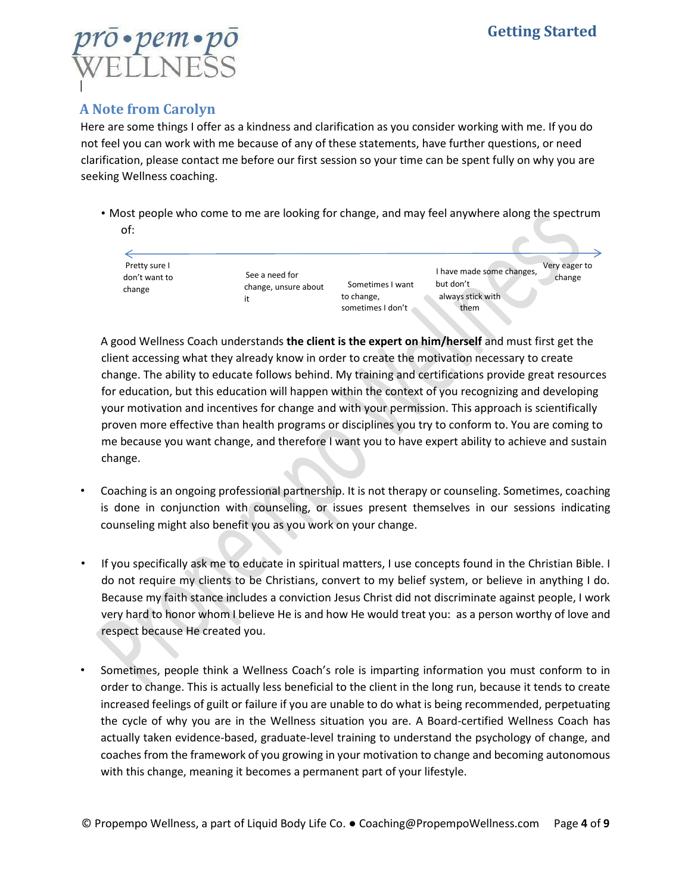

# **A Note from Carolyn**

Here are some things I offer as a kindness and clarification as you consider working with me. If you do not feel you can work with me because of any of these statements, have further questions, or need clarification, please contact me before our first session so your time can be spent fully on why you are seeking Wellness coaching.

• Most people who come to me are looking for change, and may feel anywhere along the spectrum of:



A good Wellness Coach understands **the client is the expert on him/herself** and must first get the client accessing what they already know in order to create the motivation necessary to create change. The ability to educate follows behind. My training and certifications provide great resources for education, but this education will happen within the context of you recognizing and developing your motivation and incentives for change and with your permission. This approach is scientifically proven more effective than health programs or disciplines you try to conform to. You are coming to me because you want change, and therefore I want you to have expert ability to achieve and sustain change.

- Coaching is an ongoing professional partnership. It is not therapy or counseling. Sometimes, coaching is done in conjunction with counseling, or issues present themselves in our sessions indicating counseling might also benefit you as you work on your change.
- If you specifically ask me to educate in spiritual matters, I use concepts found in the Christian Bible. I do not require my clients to be Christians, convert to my belief system, or believe in anything I do. Because my faith stance includes a conviction Jesus Christ did not discriminate against people, I work very hard to honor whom I believe He is and how He would treat you: as a person worthy of love and respect because He created you.
- Sometimes, people think a Wellness Coach's role is imparting information you must conform to in order to change. This is actually less beneficial to the client in the long run, because it tends to create increased feelings of guilt or failure if you are unable to do what is being recommended, perpetuating the cycle of why you are in the Wellness situation you are. A Board-certified Wellness Coach has actually taken evidence-based, graduate-level training to understand the psychology of change, and coaches from the framework of you growing in your motivation to change and becoming autonomous with this change, meaning it becomes a permanent part of your lifestyle.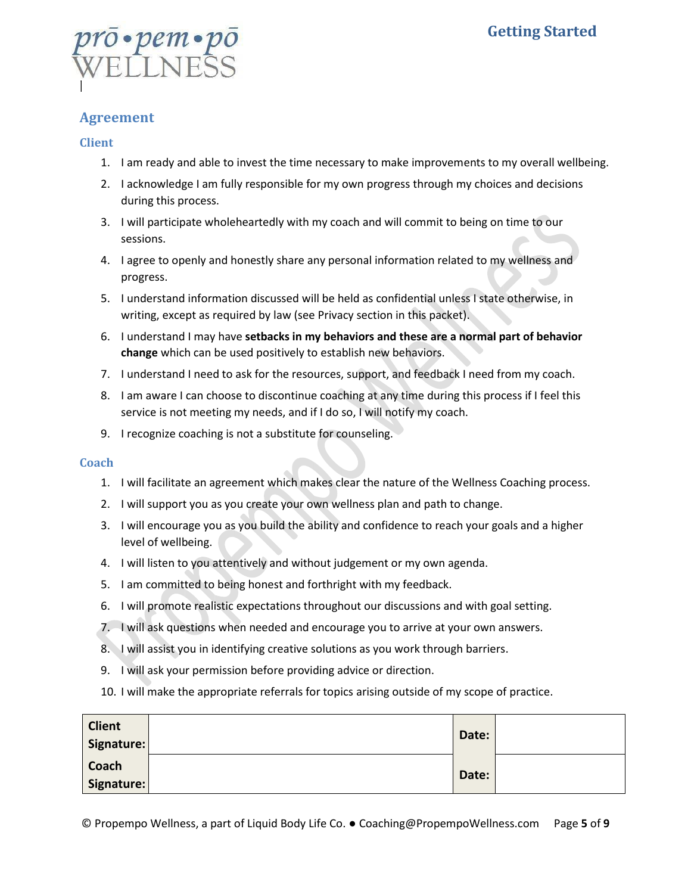

### **Agreement**

#### **Client**

- 1. I am ready and able to invest the time necessary to make improvements to my overall wellbeing.
- 2. I acknowledge I am fully responsible for my own progress through my choices and decisions during this process.
- 3. I will participate wholeheartedly with my coach and will commit to being on time to our sessions.
- 4. I agree to openly and honestly share any personal information related to my wellness and progress.
- 5. I understand information discussed will be held as confidential unless I state otherwise, in writing, except as required by law (see Privacy section in this packet).
- 6. I understand I may have **setbacks in my behaviors and these are a normal part of behavior change** which can be used positively to establish new behaviors.
- 7. I understand I need to ask for the resources, support, and feedback I need from my coach.
- 8. I am aware I can choose to discontinue coaching at any time during this process if I feel this service is not meeting my needs, and if I do so, I will notify my coach.
- 9. I recognize coaching is not a substitute for counseling.

#### **Coach**

- 1. I will facilitate an agreement which makes clear the nature of the Wellness Coaching process.
- 2. I will support you as you create your own wellness plan and path to change.
- 3. I will encourage you as you build the ability and confidence to reach your goals and a higher level of wellbeing.
- 4. I will listen to you attentively and without judgement or my own agenda.
- 5. I am committed to being honest and forthright with my feedback.
- 6. I will promote realistic expectations throughout our discussions and with goal setting.
- 7. I will ask questions when needed and encourage you to arrive at your own answers.
- 8. I will assist you in identifying creative solutions as you work through barriers.
- 9. I will ask your permission before providing advice or direction.
- 10. I will make the appropriate referrals for topics arising outside of my scope of practice.

| <b>Client</b> | Date: |  |
|---------------|-------|--|
| Signature:    |       |  |
| Coach         |       |  |
| Signature:    | Date: |  |

© Propempo Wellness, a part of Liquid Body Life Co. ● Coaching@PropempoWellness.com Page **5** of **9**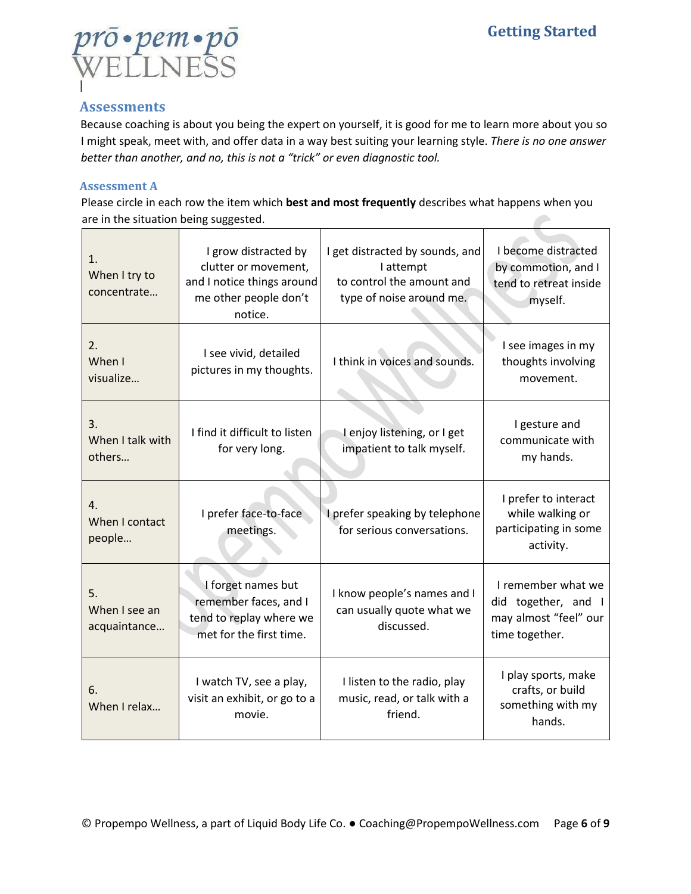

## **Assessments**

Because coaching is about you being the expert on yourself, it is good for me to learn more about you so I might speak, meet with, and offer data in a way best suiting your learning style. *There is no one answer better than another, and no, this is not a "trick" or even diagnostic tool.*

#### **Assessment A**

Please circle in each row the item which **best and most frequently** describes what happens when you are in the situation being suggested.

| 1.<br>When I try to<br>concentrate  | I grow distracted by<br>clutter or movement,<br>and I notice things around<br>me other people don't<br>notice. | I get distracted by sounds, and<br>I attempt<br>to control the amount and<br>type of noise around me. | I become distracted<br>by commotion, and I<br>tend to retreat inside<br>myself.    |
|-------------------------------------|----------------------------------------------------------------------------------------------------------------|-------------------------------------------------------------------------------------------------------|------------------------------------------------------------------------------------|
| 2.<br>When I<br>visualize           | I see vivid, detailed<br>pictures in my thoughts.                                                              | I think in voices and sounds.                                                                         | I see images in my<br>thoughts involving<br>movement.                              |
| 3.<br>When I talk with<br>others    | I find it difficult to listen<br>for very long.                                                                | Lenjoy listening, or I get<br>impatient to talk myself.                                               | I gesture and<br>communicate with<br>my hands.                                     |
| 4.<br>When I contact<br>people      | I prefer face-to-face<br>meetings.                                                                             | I prefer speaking by telephone<br>for serious conversations.                                          | I prefer to interact<br>while walking or<br>participating in some<br>activity.     |
| 5.<br>When I see an<br>acquaintance | I forget names but<br>remember faces, and I<br>tend to replay where we<br>met for the first time.              | I know people's names and I<br>can usually quote what we<br>discussed.                                | I remember what we<br>did together, and<br>may almost "feel" our<br>time together. |
| 6.<br>When I relax                  | I watch TV, see a play,<br>visit an exhibit, or go to a<br>movie.                                              | I listen to the radio, play<br>music, read, or talk with a<br>friend.                                 | I play sports, make<br>crafts, or build<br>something with my<br>hands.             |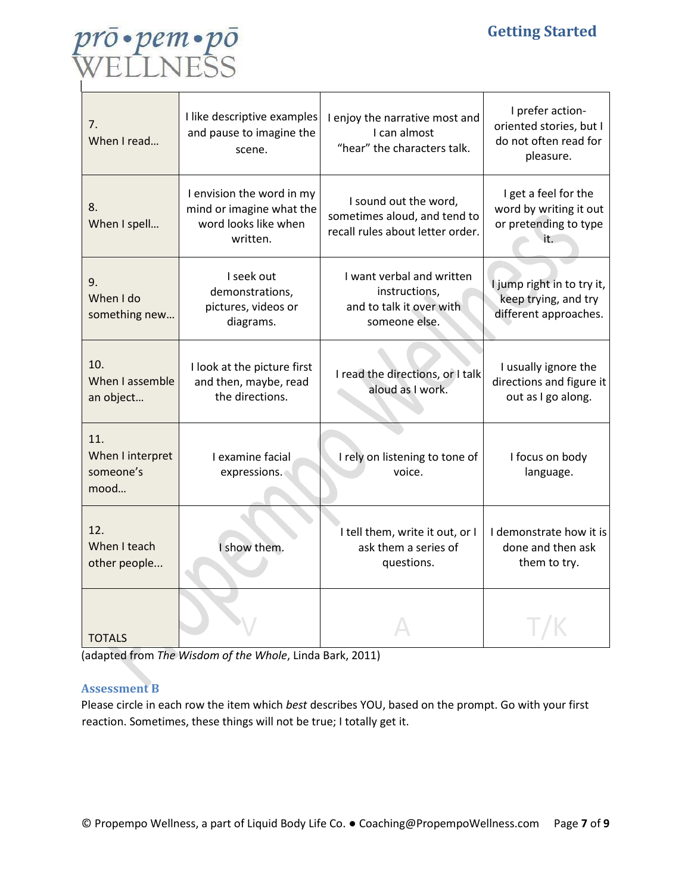

| 7.<br>When I read                            | I like descriptive examples<br>and pause to imagine the<br>scene.                         | I enjoy the narrative most and<br>I can almost<br>"hear" the characters talk.             | I prefer action-<br>oriented stories, but I<br>do not often read for<br>pleasure. |
|----------------------------------------------|-------------------------------------------------------------------------------------------|-------------------------------------------------------------------------------------------|-----------------------------------------------------------------------------------|
| 8.<br>When I spell                           | I envision the word in my<br>mind or imagine what the<br>word looks like when<br>written. | I sound out the word,<br>sometimes aloud, and tend to<br>recall rules about letter order. | I get a feel for the<br>word by writing it out<br>or pretending to type<br>it.    |
| 9.<br>When I do<br>something new             | I seek out<br>demonstrations,<br>pictures, videos or<br>diagrams.                         | I want verbal and written<br>instructions,<br>and to talk it over with<br>someone else.   | I jump right in to try it,<br>keep trying, and try<br>different approaches.       |
| 10.<br>When I assemble<br>an object          | I look at the picture first<br>and then, maybe, read<br>the directions.                   | I read the directions, or I talk<br>aloud as I work.                                      | I usually ignore the<br>directions and figure it<br>out as I go along.            |
| 11.<br>When I interpret<br>someone's<br>mood | I examine facial<br>expressions.                                                          | I rely on listening to tone of<br>voice.                                                  | I focus on body<br>language.                                                      |
| 12.<br>When I teach<br>other people          | I show them.                                                                              | I tell them, write it out, or I<br>ask them a series of<br>questions.                     | I demonstrate how it is<br>done and then ask<br>them to try.                      |
| <b>TOTALS</b>                                |                                                                                           |                                                                                           |                                                                                   |

(adapted from *The Wisdom of the Whole*, Linda Bark, 2011)

#### **Assessment B**

Please circle in each row the item which *best* describes YOU, based on the prompt. Go with your first reaction. Sometimes, these things will not be true; I totally get it.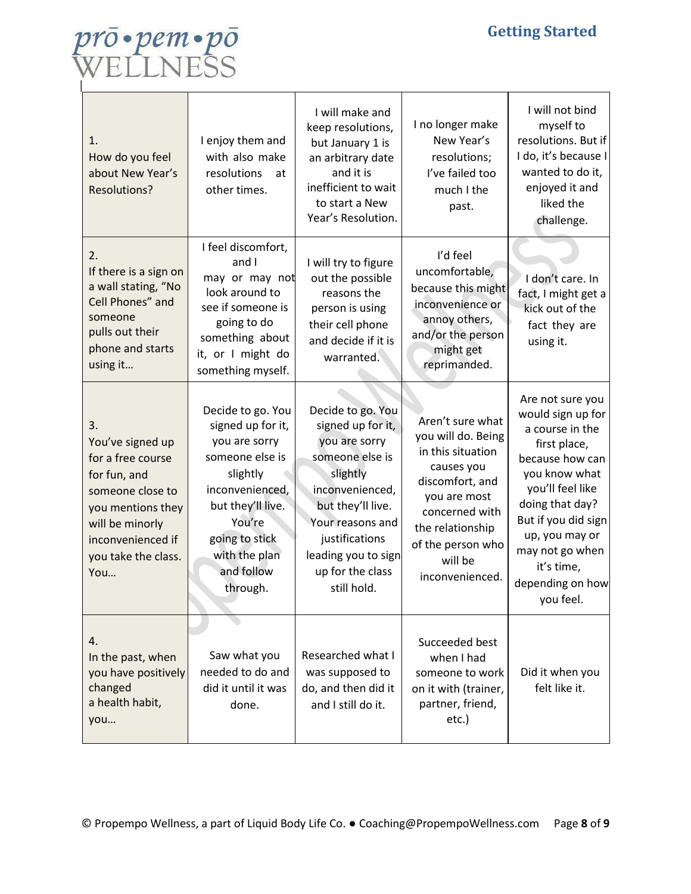

| 1.<br>How do you feel<br>about New Year's<br><b>Resolutions?</b>                                                                                                           | I enjoy them and<br>with also make<br>resolutions<br>at<br>other times.                                                                                                                               | I will make and<br>keep resolutions,<br>but January 1 is<br>an arbitrary date<br>and it is<br>inefficient to wait<br>to start a New<br>Year's Resolution.                                                                      | I no longer make<br>New Year's<br>resolutions;<br>I've failed too<br>much I the<br>past.                                                                                                              | I will not bind<br>myself to<br>resolutions. But if<br>I do, it's because I<br>wanted to do it,<br>enjoyed it and<br>liked the<br>challenge.                                                                                                                   |
|----------------------------------------------------------------------------------------------------------------------------------------------------------------------------|-------------------------------------------------------------------------------------------------------------------------------------------------------------------------------------------------------|--------------------------------------------------------------------------------------------------------------------------------------------------------------------------------------------------------------------------------|-------------------------------------------------------------------------------------------------------------------------------------------------------------------------------------------------------|----------------------------------------------------------------------------------------------------------------------------------------------------------------------------------------------------------------------------------------------------------------|
| 2.<br>If there is a sign on<br>a wall stating, "No<br>Cell Phones" and<br>someone<br>pulls out their<br>phone and starts<br>using it                                       | I feel discomfort,<br>and I<br>may or may not<br>look around to<br>see if someone is<br>going to do<br>something about<br>it, or I might do<br>something myself.                                      | I will try to figure<br>out the possible<br>reasons the<br>person is using<br>their cell phone<br>and decide if it is<br>warranted.                                                                                            | I'd feel<br>uncomfortable,<br>because this might<br>inconvenience or<br>annoy others,<br>and/or the person<br>might get<br>reprimanded.                                                               | I don't care. In<br>fact, I might get a<br>kick out of the<br>fact they are<br>using it.                                                                                                                                                                       |
| 3.<br>You've signed up<br>for a free course<br>for fun, and<br>someone close to<br>you mentions they<br>will be minorly<br>inconvenienced if<br>you take the class.<br>You | Decide to go. You<br>signed up for it,<br>you are sorry<br>someone else is<br>slightly<br>inconvenienced,<br>but they'll live.<br>You're<br>going to stick<br>with the plan<br>and follow<br>through. | Decide to go. You<br>signed up for it,<br>you are sorry<br>someone else is<br>slightly<br>inconvenienced,<br>but they'll live.<br>Your reasons and<br>justifications<br>leading you to sign<br>up for the class<br>still hold. | Aren't sure what<br>you will do. Being<br>in this situation<br>causes you<br>discomfort, and<br>you are most<br>concerned with<br>the relationship<br>of the person who<br>will be<br>inconvenienced. | Are not sure you<br>would sign up for<br>a course in the<br>first place,<br>because how can<br>you know what<br>you'll feel like<br>doing that day?<br>But if you did sign<br>up, you may or<br>may not go when<br>it's time,<br>depending on how<br>you feel. |
| 4.<br>In the past, when<br>you have positively<br>changed<br>a health habit,<br>you                                                                                        | Saw what you<br>needed to do and<br>did it until it was<br>done.                                                                                                                                      | Researched what I<br>was supposed to<br>do, and then did it<br>and I still do it.                                                                                                                                              | Succeeded best<br>when I had<br>someone to work<br>on it with (trainer,<br>partner, friend,<br>etc.)                                                                                                  | Did it when you<br>felt like it.                                                                                                                                                                                                                               |